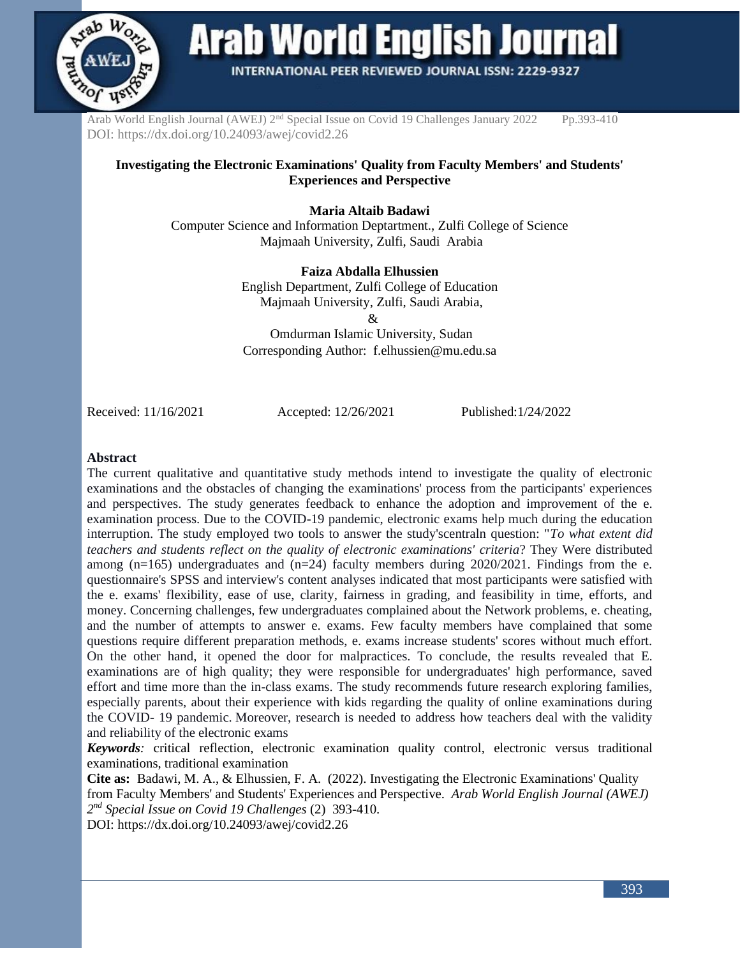

**Arab World English Journal** 

**INTERNATIONAL PEER REVIEWED JOURNAL ISSN: 2229-9327** 

Arab World English Journal (AWEJ) 2<sup>nd</sup> Special Issue on Covid 19 Challenges January 2022 Pp.393-410 DOI: https://dx.doi.org/10.24093/awej/covid2.26

#### **Investigating the Electronic Examinations' Quality from Faculty Members' and Students' Experiences and Perspective**

**Maria Altaib Badawi** 

Computer Science and Information Deptartment., Zulfi College of Science Majmaah University, Zulfi, Saudi Arabia

#### **Faiza Abdalla Elhussien**

English Department, Zulfi College of Education Majmaah University, Zulfi, Saudi Arabia,

&

Omdurman Islamic University, Sudan Corresponding Author: [f.elhussien@mu.edu.sa](mailto:f.elhussien@mu.edu.sa)

Received: 11/16/2021 Accepted: 12/26/2021 Published:1/24/2022

#### **Abstract**

The current qualitative and quantitative study methods intend to investigate the quality of electronic examinations and the obstacles of changing the examinations' process from the participants' experiences and perspectives. The study generates feedback to enhance the adoption and improvement of the e. examination process. Due to the COVID-19 pandemic, electronic exams help much during the education interruption. The study employed two tools to answer the study'scentraln question: "*To what extent did teachers and students reflect on the quality of electronic examinations' criteria*? They Were distributed among  $(n=165)$  undergraduates and  $(n=24)$  faculty members during 2020/2021. Findings from the e. questionnaire's SPSS and interview's content analyses indicated that most participants were satisfied with the e. exams' flexibility, ease of use, clarity, fairness in grading, and feasibility in time, efforts, and money. Concerning challenges, few undergraduates complained about the Network problems, e. cheating, and the number of attempts to answer e. exams. Few faculty members have complained that some questions require different preparation methods, e. exams increase students' scores without much effort. On the other hand, it opened the door for malpractices. To conclude, the results revealed that E. examinations are of high quality; they were responsible for undergraduates' high performance, saved effort and time more than the in-class exams. The study recommends future research exploring families, especially parents, about their experience with kids regarding the quality of online examinations during the COVID- 19 pandemic. Moreover, research is needed to address how teachers deal with the validity and reliability of the electronic exams

*Keywords:* critical reflection, electronic examination quality control, electronic versus traditional examinations, traditional examination

**Cite as:** Badawi, M. A., & Elhussien, F. A. (2022). Investigating the Electronic Examinations' Quality from Faculty Members' and Students' Experiences and Perspective. *Arab World English Journal (AWEJ) 2 nd Special Issue on Covid 19 Challenges* (2)393-410.

DOI: https://dx.doi.org/10.24093/awej/covid2.26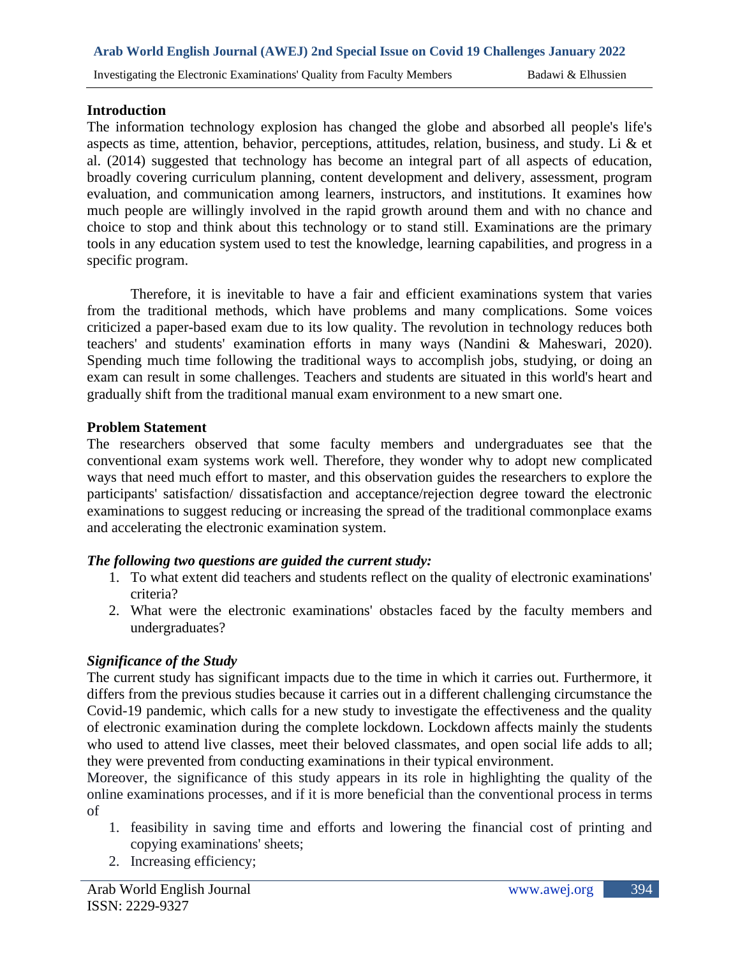#### **Introduction**

The information technology explosion has changed the globe and absorbed all people's life's aspects as time, attention, behavior, perceptions, attitudes, relation, business, and study. Li & et al. (2014) suggested that technology has become an integral part of all aspects of education, broadly covering curriculum planning, content development and delivery, assessment, program evaluation, and communication among learners, instructors, and institutions. It examines how much people are willingly involved in the rapid growth around them and with no chance and choice to stop and think about this technology or to stand still. Examinations are the primary tools in any education system used to test the knowledge, learning capabilities, and progress in a specific program.

Therefore, it is inevitable to have a fair and efficient examinations system that varies from the traditional methods, which have problems and many complications. Some voices criticized a paper-based exam due to its low quality. The revolution in technology reduces both teachers' and students' examination efforts in many ways (Nandini & Maheswari, 2020). Spending much time following the traditional ways to accomplish jobs, studying, or doing an exam can result in some challenges. Teachers and students are situated in this world's heart and gradually shift from the traditional manual exam environment to a new smart one.

#### **Problem Statement**

The researchers observed that some faculty members and undergraduates see that the conventional exam systems work well. Therefore, they wonder why to adopt new complicated ways that need much effort to master, and this observation guides the researchers to explore the participants' satisfaction/ dissatisfaction and acceptance/rejection degree toward the electronic examinations to suggest reducing or increasing the spread of the traditional commonplace exams and accelerating the electronic examination system.

#### *The following two questions are guided the current study:*

- 1. To what extent did teachers and students reflect on the quality of electronic examinations' criteria?
- 2. What were the electronic examinations' obstacles faced by the faculty members and undergraduates?

#### *Significance of the Study*

The current study has significant impacts due to the time in which it carries out. Furthermore, it differs from the previous studies because it carries out in a different challenging circumstance the Covid-19 pandemic, which calls for a new study to investigate the effectiveness and the quality of electronic examination during the complete lockdown. Lockdown affects mainly the students who used to attend live classes, meet their beloved classmates, and open social life adds to all; they were prevented from conducting examinations in their typical environment.

Moreover, the significance of this study appears in its role in highlighting the quality of the online examinations processes, and if it is more beneficial than the conventional process in terms of

- 1. feasibility in saving time and efforts and lowering the financial cost of printing and copying examinations' sheets;
- 2. Increasing efficiency;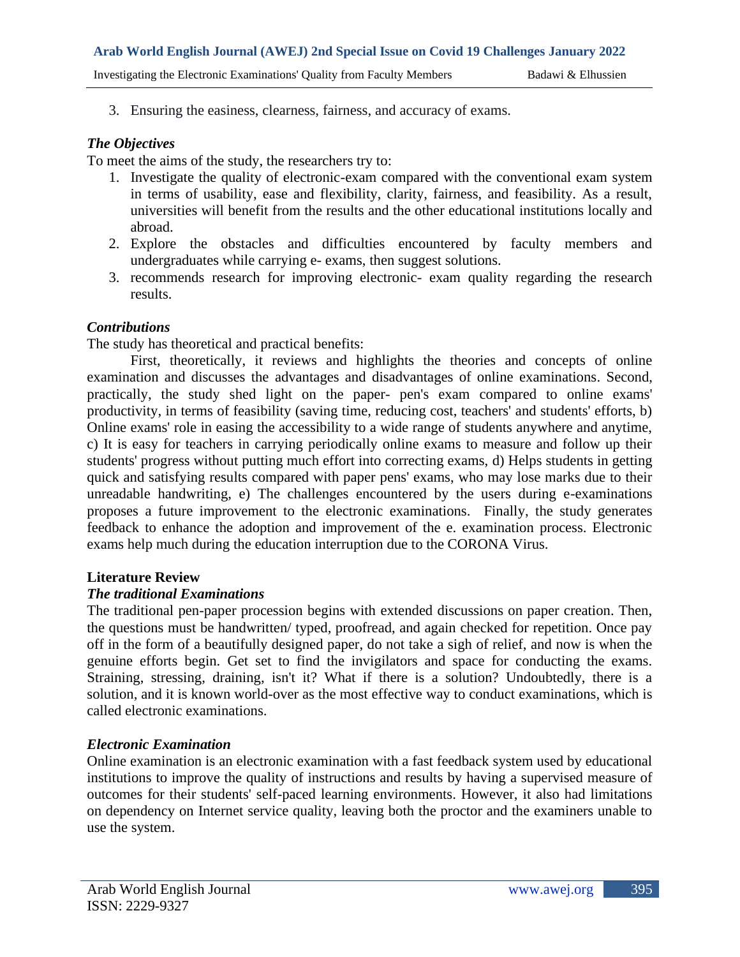Investigating the Electronic Examinations' Quality from Faculty Members Badawi & Elhussien

3. Ensuring the easiness, clearness, fairness, and accuracy of exams.

#### *The Objectives*

To meet the aims of the study, the researchers try to:

- 1. Investigate the quality of electronic-exam compared with the conventional exam system in terms of usability, ease and flexibility, clarity, fairness, and feasibility. As a result, universities will benefit from the results and the other educational institutions locally and abroad.
- 2. Explore the obstacles and difficulties encountered by faculty members and undergraduates while carrying e- exams, then suggest solutions.
- 3. recommends research for improving electronic- exam quality regarding the research results.

## *Contributions*

The study has theoretical and practical benefits:

First, theoretically, it reviews and highlights the theories and concepts of online examination and discusses the advantages and disadvantages of online examinations. Second, practically, the study shed light on the paper- pen's exam compared to online exams' productivity, in terms of feasibility (saving time, reducing cost, teachers' and students' efforts, b) Online exams' role in easing the accessibility to a wide range of students anywhere and anytime, c) It is easy for teachers in carrying periodically online exams to measure and follow up their students' progress without putting much effort into correcting exams, d) Helps students in getting quick and satisfying results compared with paper pens' exams, who may lose marks due to their unreadable handwriting, e) The challenges encountered by the users during e-examinations proposes a future improvement to the electronic examinations. Finally, the study generates feedback to enhance the adoption and improvement of the e. examination process. Electronic exams help much during the education interruption due to the CORONA Virus.

#### **Literature Review**

#### *The traditional Examinations*

The traditional pen-paper procession begins with extended discussions on paper creation. Then, the questions must be handwritten/ typed, proofread, and again checked for repetition. Once pay off in the form of a beautifully designed paper, do not take a sigh of relief, and now is when the genuine efforts begin. Get set to find the invigilators and space for conducting the exams. Straining, stressing, draining, isn't it? What if there is a solution? Undoubtedly, there is a solution, and it is known world-over as the most effective way to conduct examinations, which is called electronic examinations.

#### *Electronic Examination*

Online examination is an electronic examination with a fast feedback system used by educational institutions to improve the quality of instructions and results by having a supervised measure of outcomes for their students' self-paced learning environments. However, it also had limitations on dependency on Internet service quality, leaving both the proctor and the examiners unable to use the system.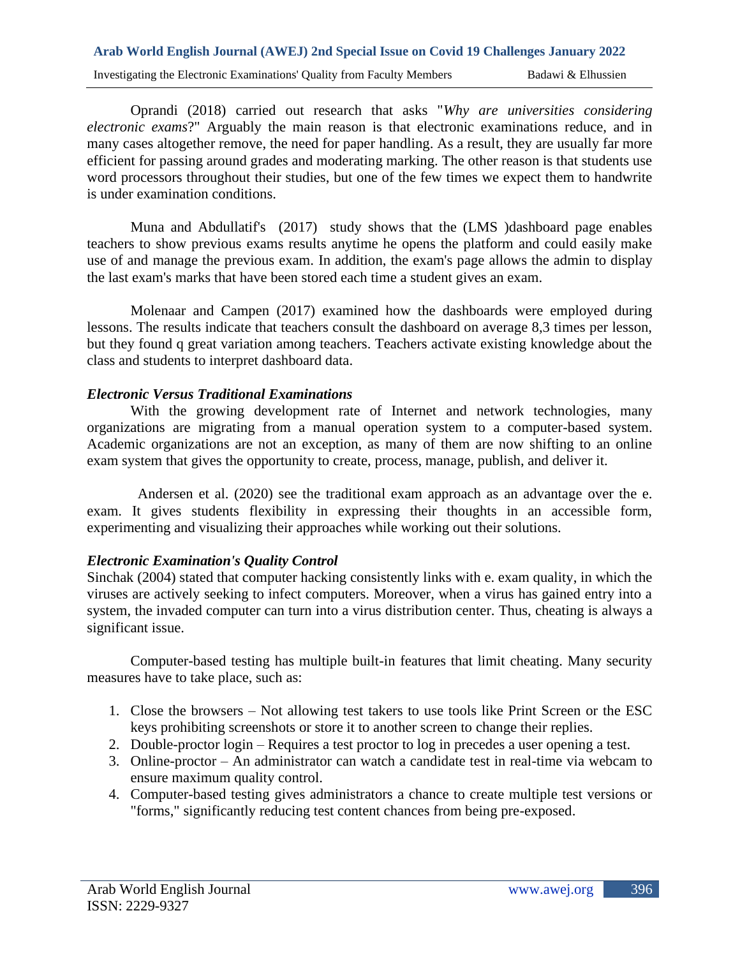Oprandi (2018) carried out research that asks "*Why are universities considering electronic exams*?" Arguably the main reason is that electronic examinations reduce, and in many cases altogether remove, the need for paper handling. As a result, they are usually far more efficient for passing around grades and moderating marking. The other reason is that students use word processors throughout their studies, but one of the few times we expect them to handwrite is under examination conditions.

Muna and Abdullatif's (2017) study shows that the (LMS )dashboard page enables teachers to show previous exams results anytime he opens the platform and could easily make use of and manage the previous exam. In addition, the exam's page allows the admin to display the last exam's marks that have been stored each time a student gives an exam.

Molenaar and Campen (2017) examined how the dashboards were employed during lessons. The results indicate that teachers consult the dashboard on average 8,3 times per lesson, but they found q great variation among teachers. Teachers activate existing knowledge about the class and students to interpret dashboard data.

## *Electronic Versus Traditional Examinations*

With the growing development rate of Internet and network technologies, many organizations are migrating from a manual operation system to a computer-based system. Academic organizations are not an exception, as many of them are now shifting to an online exam system that gives the opportunity to create, process, manage, publish, and deliver it.

 Andersen et al. (2020) see the traditional exam approach as an advantage over the e. exam. It gives students flexibility in expressing their thoughts in an accessible form, experimenting and visualizing their approaches while working out their solutions.

#### *Electronic Examination's Quality Control*

Sinchak (2004) stated that computer hacking consistently links with e. exam quality, in which the viruses are actively seeking to infect computers. Moreover, when a virus has gained entry into a system, the invaded computer can turn into a virus distribution center. Thus, cheating is always a significant issue.

Computer-based testing has multiple built-in features that limit cheating. Many security measures have to take place, such as:

- 1. Close the browsers Not allowing test takers to use tools like Print Screen or the ESC keys prohibiting screenshots or store it to another screen to change their replies.
- 2. Double-proctor login Requires a test proctor to log in precedes a user opening a test.
- 3. Online-proctor An administrator can watch a candidate test in real-time via webcam to ensure maximum quality control.
- 4. Computer-based testing gives administrators a chance to create multiple test versions or "forms," significantly reducing test content chances from being pre-exposed.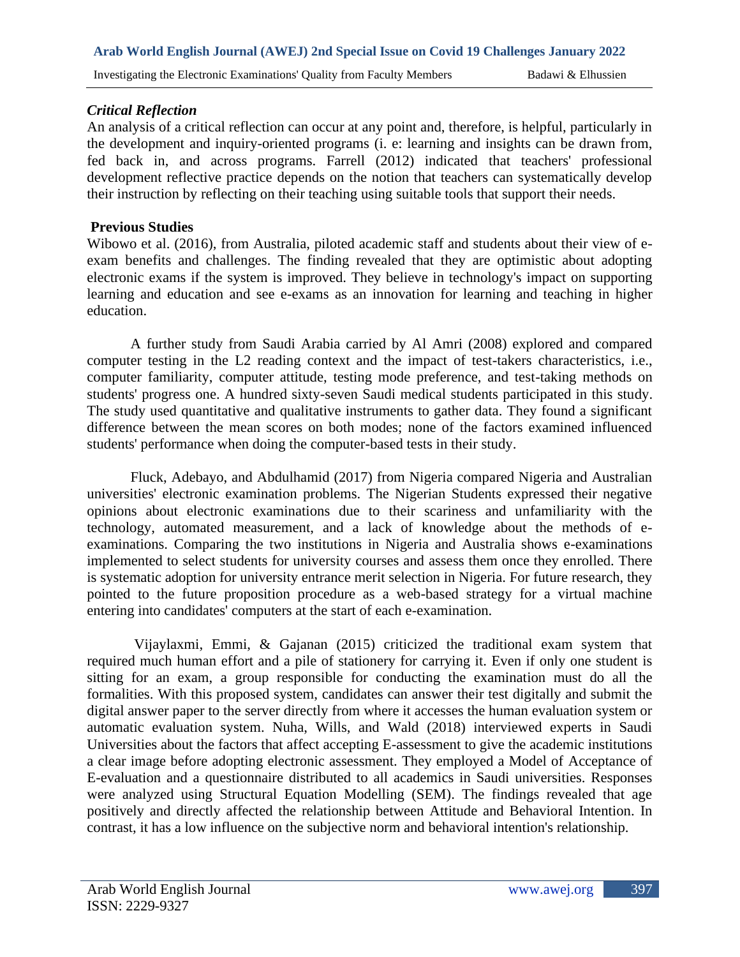#### *Critical Reflection*

An analysis of a critical reflection can occur at any point and, therefore, is helpful, particularly in the development and inquiry-oriented programs (i. e: learning and insights can be drawn from, fed back in, and across programs. Farrell (2012) indicated that teachers' professional development reflective practice depends on the notion that teachers can systematically develop their instruction by reflecting on their teaching using suitable tools that support their needs.

#### **Previous Studies**

Wibowo et al. (2016), from Australia, piloted academic staff and students about their view of eexam benefits and challenges. The finding revealed that they are optimistic about adopting electronic exams if the system is improved. They believe in technology's impact on supporting learning and education and see e-exams as an innovation for learning and teaching in higher education.

A further study from Saudi Arabia carried by Al Amri (2008) explored and compared computer testing in the L2 reading context and the impact of test-takers characteristics, i.e., computer familiarity, computer attitude, testing mode preference, and test-taking methods on students' progress one. A hundred sixty-seven Saudi medical students participated in this study. The study used quantitative and qualitative instruments to gather data. They found a significant difference between the mean scores on both modes; none of the factors examined influenced students' performance when doing the computer-based tests in their study.

Fluck, Adebayo, and Abdulhamid (2017) from Nigeria compared Nigeria and Australian universities' electronic examination problems. The Nigerian Students expressed their negative opinions about electronic examinations due to their scariness and unfamiliarity with the technology, automated measurement, and a lack of knowledge about the methods of eexaminations. Comparing the two institutions in Nigeria and Australia shows e-examinations implemented to select students for university courses and assess them once they enrolled. There is systematic adoption for university entrance merit selection in Nigeria. For future research, they pointed to the future proposition procedure as a web-based strategy for a virtual machine entering into candidates' computers at the start of each e-examination.

Vijaylaxmi, Emmi, & Gajanan (2015) criticized the traditional exam system that required much human effort and a pile of stationery for carrying it. Even if only one student is sitting for an exam, a group responsible for conducting the examination must do all the formalities. With this proposed system, candidates can answer their test digitally and submit the digital answer paper to the server directly from where it accesses the human evaluation system or automatic evaluation system. Nuha, Wills, and Wald (2018) interviewed experts in Saudi Universities about the factors that affect accepting E-assessment to give the academic institutions a clear image before adopting electronic assessment. They employed a Model of Acceptance of E-evaluation and a questionnaire distributed to all academics in Saudi universities. Responses were analyzed using Structural Equation Modelling (SEM). The findings revealed that age positively and directly affected the relationship between Attitude and Behavioral Intention. In contrast, it has a low influence on the subjective norm and behavioral intention's relationship.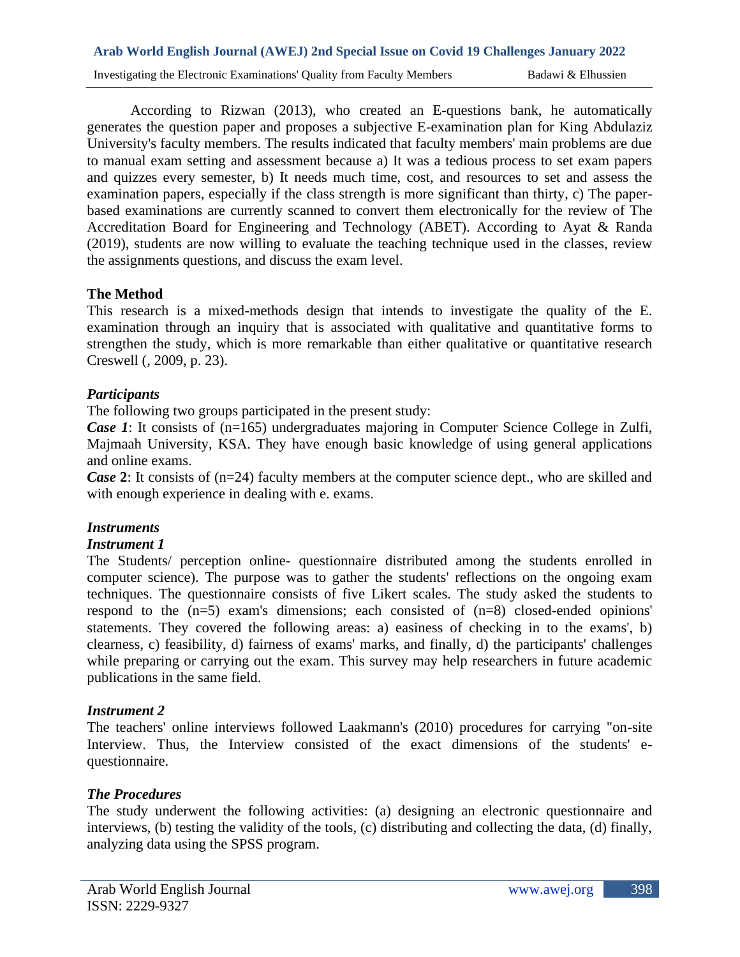According to Rizwan (2013), who created an E-questions bank, he automatically generates the question paper and proposes a subjective E-examination plan for King Abdulaziz University's faculty members. The results indicated that faculty members' main problems are due to manual exam setting and assessment because a) It was a tedious process to set exam papers and quizzes every semester, b) It needs much time, cost, and resources to set and assess the examination papers, especially if the class strength is more significant than thirty, c) The paperbased examinations are currently scanned to convert them electronically for the review of The Accreditation Board for Engineering and Technology (ABET). According to Ayat & Randa (2019), students are now willing to evaluate the teaching technique used in the classes, review the assignments questions, and discuss the exam level.

## **The Method**

This research is a mixed-methods design that intends to investigate the quality of the E. examination through an inquiry that is associated with qualitative and quantitative forms to strengthen the study, which is more remarkable than either qualitative or quantitative research Creswell (, 2009, p. 23).

## *Participants*

The following two groups participated in the present study:

*Case 1*: It consists of (n=165) undergraduates majoring in Computer Science College in Zulfi, Majmaah University, KSA. They have enough basic knowledge of using general applications and online exams.

*Case* 2: It consists of (n=24) faculty members at the computer science dept., who are skilled and with enough experience in dealing with e. exams.

# *Instruments*

#### *Instrument 1*

The Students/ perception online- questionnaire distributed among the students enrolled in computer science). The purpose was to gather the students' reflections on the ongoing exam techniques. The questionnaire consists of five Likert scales. The study asked the students to respond to the (n=5) exam's dimensions; each consisted of (n=8) closed-ended opinions' statements. They covered the following areas: a) easiness of checking in to the exams', b) clearness, c) feasibility, d) fairness of exams' marks, and finally, d) the participants' challenges while preparing or carrying out the exam. This survey may help researchers in future academic publications in the same field.

# *Instrument 2*

The teachers' online interviews followed Laakmann's (2010) procedures for carrying "on-site Interview. Thus, the Interview consisted of the exact dimensions of the students' equestionnaire.

# *The Procedures*

The study underwent the following activities: (a) designing an electronic questionnaire and interviews, (b) testing the validity of the tools, (c) distributing and collecting the data, (d) finally, analyzing data using the SPSS program.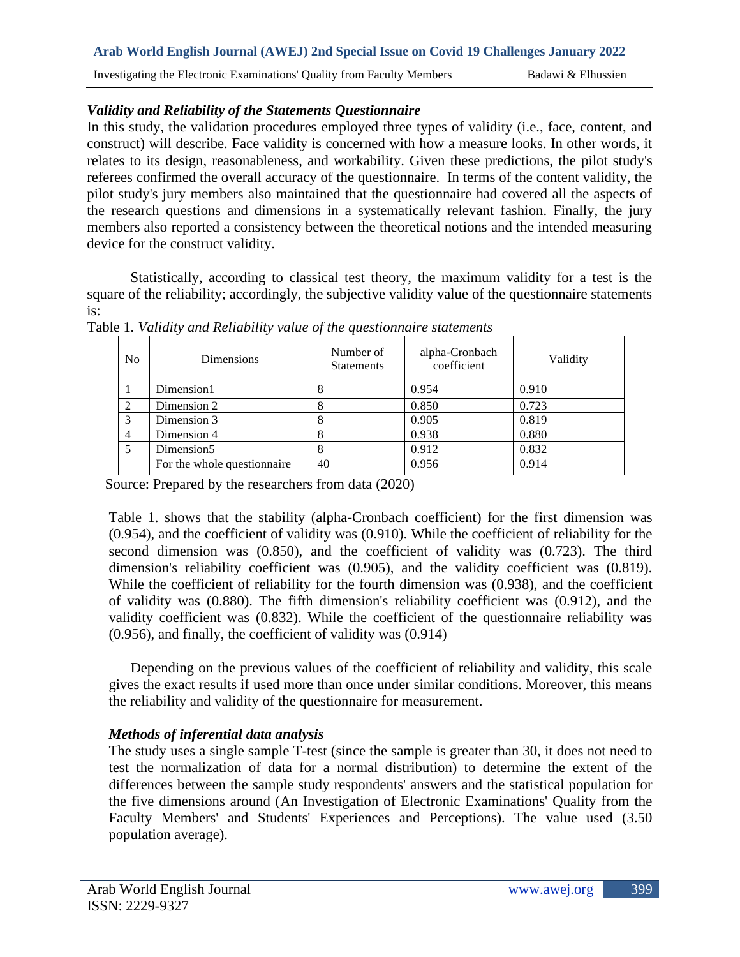# **Arab World English Journal (AWEJ) 2nd Special Issue on Covid 19 Challenges January 2022**  Investigating the Electronic Examinations' Quality from Faculty Members Badawi & Elhussien

## *Validity and Reliability of the Statements Questionnaire*

In this study, the validation procedures employed three types of validity (i.e., face, content, and construct) will describe. Face validity is concerned with how a measure looks. In other words, it relates to its design, reasonableness, and workability. Given these predictions, the pilot study's referees confirmed the overall accuracy of the questionnaire. In terms of the content validity, the pilot study's jury members also maintained that the questionnaire had covered all the aspects of the research questions and dimensions in a systematically relevant fashion. Finally, the jury members also reported a consistency between the theoretical notions and the intended measuring device for the construct validity.

Statistically, according to classical test theory, the maximum validity for a test is the square of the reliability; accordingly, the subjective validity value of the questionnaire statements is:

| N <sub>0</sub> | Dimensions                  | Number of<br><b>Statements</b> | alpha-Cronbach<br>coefficient | Validity |
|----------------|-----------------------------|--------------------------------|-------------------------------|----------|
|                | Dimension1                  |                                | 0.954                         | 0.910    |
| 2              | Dimension 2                 |                                | 0.850                         | 0.723    |
| 3              | Dimension 3                 |                                | 0.905                         | 0.819    |
| 4              | Dimension 4                 |                                | 0.938                         | 0.880    |
|                | Dimension <sub>5</sub>      |                                | 0.912                         | 0.832    |
|                | For the whole questionnaire | 40                             | 0.956                         | 0.914    |

Table 1*. Validity and Reliability value of the questionnaire statements*

Source: Prepared by the researchers from data (2020)

Table 1. shows that the stability (alpha-Cronbach coefficient) for the first dimension was (0.954), and the coefficient of validity was (0.910). While the coefficient of reliability for the second dimension was (0.850), and the coefficient of validity was (0.723). The third dimension's reliability coefficient was (0.905), and the validity coefficient was (0.819). While the coefficient of reliability for the fourth dimension was (0.938), and the coefficient of validity was (0.880). The fifth dimension's reliability coefficient was (0.912), and the validity coefficient was (0.832). While the coefficient of the questionnaire reliability was (0.956), and finally, the coefficient of validity was (0.914)

Depending on the previous values of the coefficient of reliability and validity, this scale gives the exact results if used more than once under similar conditions. Moreover, this means the reliability and validity of the questionnaire for measurement.

# *Methods of inferential data analysis*

The study uses a single sample T-test (since the sample is greater than 30, it does not need to test the normalization of data for a normal distribution) to determine the extent of the differences between the sample study respondents' answers and the statistical population for the five dimensions around (An Investigation of Electronic Examinations' Quality from the Faculty Members' and Students' Experiences and Perceptions). The value used (3.50 population average).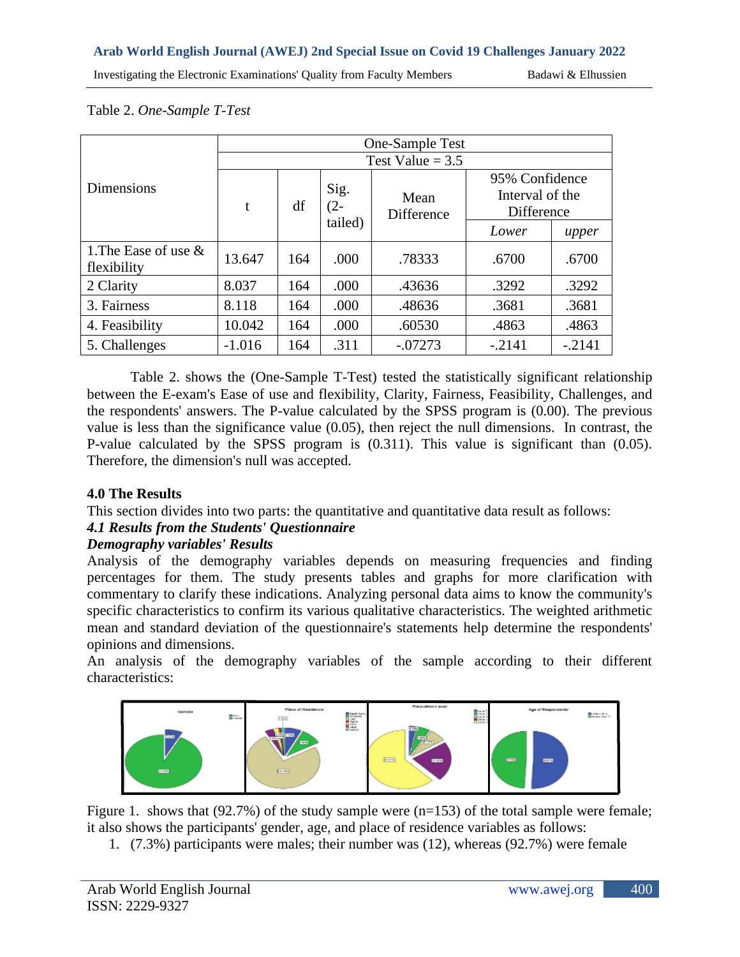Investigating the Electronic Examinations' Quality from Faculty Members Badawi & Elhussien

#### Table 2. *One-Sample T-Test*

|                                        | One-Sample Test    |     |                           |                    |                                                 |          |  |
|----------------------------------------|--------------------|-----|---------------------------|--------------------|-------------------------------------------------|----------|--|
|                                        | Test Value = $3.5$ |     |                           |                    |                                                 |          |  |
| <b>Dimensions</b>                      | t                  | df  | Sig.<br>$(2 -$<br>tailed) | Mean<br>Difference | 95% Confidence<br>Interval of the<br>Difference |          |  |
|                                        |                    |     |                           |                    | Lower                                           | upper    |  |
| 1. The Ease of use $\&$<br>flexibility | 13.647             | 164 | .000                      | .78333             | .6700                                           | .6700    |  |
| 2 Clarity                              | 8.037              | 164 | .000                      | .43636             | .3292                                           | .3292    |  |
| 3. Fairness                            | 8.118              | 164 | .000                      | .48636             | .3681                                           | .3681    |  |
| 4. Feasibility                         | 10.042             | 164 | .000                      | .60530             | .4863                                           | .4863    |  |
| 5. Challenges                          | $-1.016$           | 164 | .311                      | $-.07273$          | $-.2141$                                        | $-.2141$ |  |

Table 2. shows the (One-Sample T-Test) tested the statistically significant relationship between the E-exam's Ease of use and flexibility, Clarity, Fairness, Feasibility, Challenges, and the respondents' answers. The P-value calculated by the SPSS program is (0.00). The previous value is less than the significance value (0.05), then reject the null dimensions. In contrast, the P-value calculated by the SPSS program is (0.311). This value is significant than (0.05). Therefore, the dimension's null was accepted.

#### **4.0 The Results**

This section divides into two parts: the quantitative and quantitative data result as follows:

#### *4.1 Results from the Students' Questionnaire*

#### *Demography variables' Results*

Analysis of the demography variables depends on measuring frequencies and finding percentages for them. The study presents tables and graphs for more clarification with commentary to clarify these indications. Analyzing personal data aims to know the community's specific characteristics to confirm its various qualitative characteristics. The weighted arithmetic mean and standard deviation of the questionnaire's statements help determine the respondents' opinions and dimensions.

An analysis of the demography variables of the sample according to their different characteristics:



Figure 1. shows that (92.7%) of the study sample were (n=153) of the total sample were female; it also shows the participants' gender, age, and place of residence variables as follows:

1. (7.3%) participants were males; their number was (12), whereas (92.7%) were female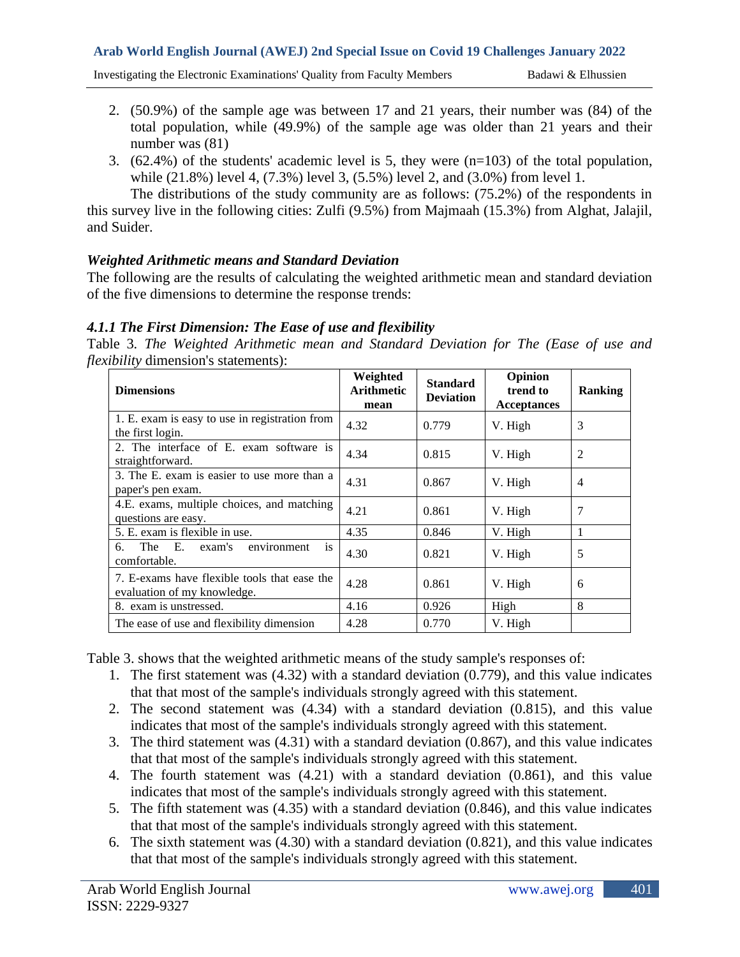Investigating the Electronic Examinations' Quality from Faculty Members Badawi & Elhussien

- 2. (50.9%) of the sample age was between 17 and 21 years, their number was (84) of the total population, while (49.9%) of the sample age was older than 21 years and their number was (81)
- 3. (62.4%) of the students' academic level is 5, they were  $(n=103)$  of the total population, while (21.8%) level 4, (7.3%) level 3, (5.5%) level 2, and (3.0%) from level 1.

The distributions of the study community are as follows: (75.2%) of the respondents in this survey live in the following cities: Zulfi (9.5%) from Majmaah (15.3%) from Alghat, Jalajil, and Suider.

#### *Weighted Arithmetic means and Standard Deviation*

The following are the results of calculating the weighted arithmetic mean and standard deviation of the five dimensions to determine the response trends:

## *4.1.1 The First Dimension: The Ease of use and flexibility*

Table 3*. The Weighted Arithmetic mean and Standard Deviation for The (Ease of use and flexibility* dimension's statements):

| <b>Dimensions</b>                                                           | Weighted<br>Arithmetic<br>mean | <b>Standard</b><br><b>Deviation</b> | Opinion<br>trend to<br><b>Acceptances</b> | <b>Ranking</b> |
|-----------------------------------------------------------------------------|--------------------------------|-------------------------------------|-------------------------------------------|----------------|
| 1. E. exam is easy to use in registration from<br>the first login.          | 4.32                           | 0.779                               | V. High                                   | 3              |
| 2. The interface of E. exam software is<br>straightforward.                 | 4.34                           | 0.815                               | V. High                                   | $\overline{c}$ |
| 3. The E. exam is easier to use more than a<br>paper's pen exam.            | 4.31                           | 0.867                               | V. High                                   | 4              |
| 4.E. exams, multiple choices, and matching<br>questions are easy.           | 4.21                           | 0.861                               | V. High                                   | 7              |
| 5. E. exam is flexible in use.                                              | 4.35                           | 0.846                               | V. High                                   |                |
| The E.<br>exam's<br>6.<br>environment<br><b>1S</b><br>comfortable.          | 4.30                           | 0.821                               | V. High                                   | 5              |
| 7. E-exams have flexible tools that ease the<br>evaluation of my knowledge. | 4.28                           | 0.861                               | V. High                                   | 6              |
| 8. exam is unstressed.                                                      | 4.16                           | 0.926                               | High                                      | 8              |
| The ease of use and flexibility dimension                                   | 4.28                           | 0.770                               | V. High                                   |                |

Table 3. shows that the weighted arithmetic means of the study sample's responses of:

- 1. The first statement was (4.32) with a standard deviation (0.779), and this value indicates that that most of the sample's individuals strongly agreed with this statement.
- 2. The second statement was (4.34) with a standard deviation (0.815), and this value indicates that most of the sample's individuals strongly agreed with this statement.
- 3. The third statement was (4.31) with a standard deviation (0.867), and this value indicates that that most of the sample's individuals strongly agreed with this statement.
- 4. The fourth statement was (4.21) with a standard deviation (0.861), and this value indicates that most of the sample's individuals strongly agreed with this statement.
- 5. The fifth statement was (4.35) with a standard deviation (0.846), and this value indicates that that most of the sample's individuals strongly agreed with this statement.
- 6. The sixth statement was (4.30) with a standard deviation (0.821), and this value indicates that that most of the sample's individuals strongly agreed with this statement.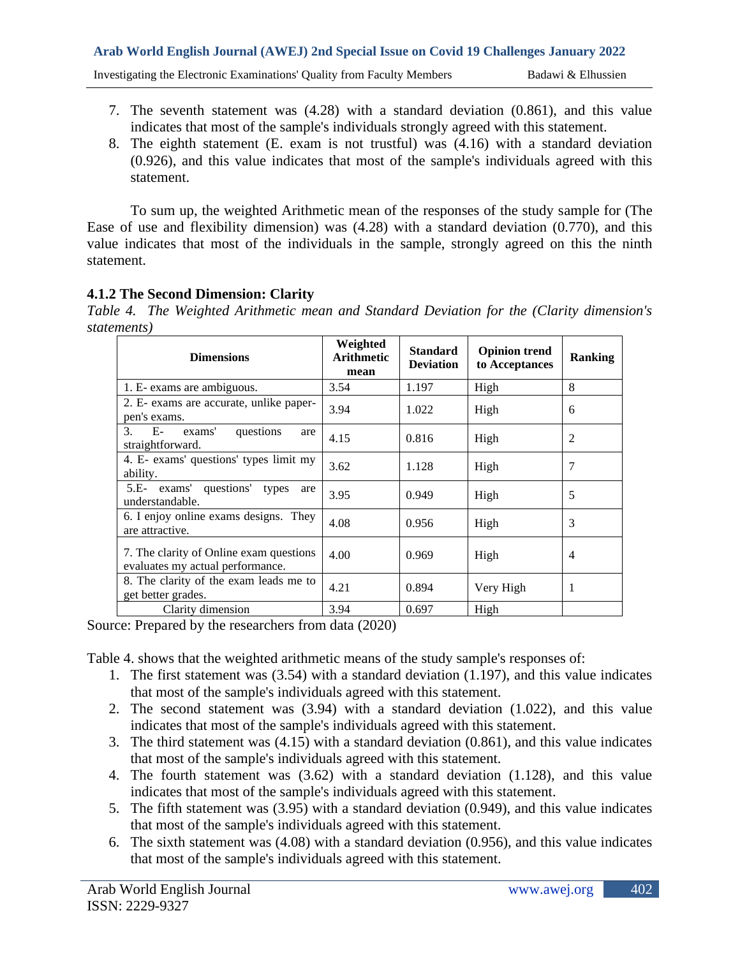- 7. The seventh statement was (4.28) with a standard deviation (0.861), and this value indicates that most of the sample's individuals strongly agreed with this statement.
- 8. The eighth statement (E. exam is not trustful) was (4.16) with a standard deviation (0.926), and this value indicates that most of the sample's individuals agreed with this statement.

To sum up, the weighted Arithmetic mean of the responses of the study sample for (The Ease of use and flexibility dimension) was (4.28) with a standard deviation (0.770), and this value indicates that most of the individuals in the sample, strongly agreed on this the ninth statement.

# **4.1.2 The Second Dimension: Clarity**

*Table 4. The Weighted Arithmetic mean and Standard Deviation for the (Clarity dimension's statements)*

| <b>Dimensions</b>                                                           | Weighted<br><b>Arithmetic</b><br>mean | <b>Standard</b><br><b>Deviation</b> | <b>Opinion trend</b><br>to Acceptances | <b>Ranking</b> |
|-----------------------------------------------------------------------------|---------------------------------------|-------------------------------------|----------------------------------------|----------------|
| 1. E- exams are ambiguous.                                                  | 3.54                                  | 1.197                               | High                                   | 8              |
| 2. E- exams are accurate, unlike paper-<br>pen's exams.                     | 3.94                                  | 1.022                               | High                                   | 6              |
| exams'<br>questions<br>$E-$<br>3.<br>are<br>straightforward.                | 4.15                                  | 0.816                               | High                                   | 2              |
| 4. E- exams' questions' types limit my<br>ability.                          | 3.62                                  | 1.128                               | High                                   | 7              |
| exams' questions' types<br>$5.E-$<br>are<br>understandable.                 | 3.95                                  | 0.949                               | High                                   | 5              |
| 6. I enjoy online exams designs. They<br>are attractive.                    | 4.08                                  | 0.956                               | High                                   | 3              |
| 7. The clarity of Online exam questions<br>evaluates my actual performance. | 4.00                                  | 0.969                               | High                                   | 4              |
| 8. The clarity of the exam leads me to<br>get better grades.                | 4.21                                  | 0.894                               | Very High                              | 1              |
| Clarity dimension                                                           | 3.94                                  | 0.697                               | High                                   |                |

Source: Prepared by the researchers from data (2020)

Table 4. shows that the weighted arithmetic means of the study sample's responses of:

- 1. The first statement was (3.54) with a standard deviation (1.197), and this value indicates that most of the sample's individuals agreed with this statement.
- 2. The second statement was (3.94) with a standard deviation (1.022), and this value indicates that most of the sample's individuals agreed with this statement.
- 3. The third statement was (4.15) with a standard deviation (0.861), and this value indicates that most of the sample's individuals agreed with this statement.
- 4. The fourth statement was (3.62) with a standard deviation (1.128), and this value indicates that most of the sample's individuals agreed with this statement.
- 5. The fifth statement was (3.95) with a standard deviation (0.949), and this value indicates that most of the sample's individuals agreed with this statement.
- 6. The sixth statement was (4.08) with a standard deviation (0.956), and this value indicates that most of the sample's individuals agreed with this statement.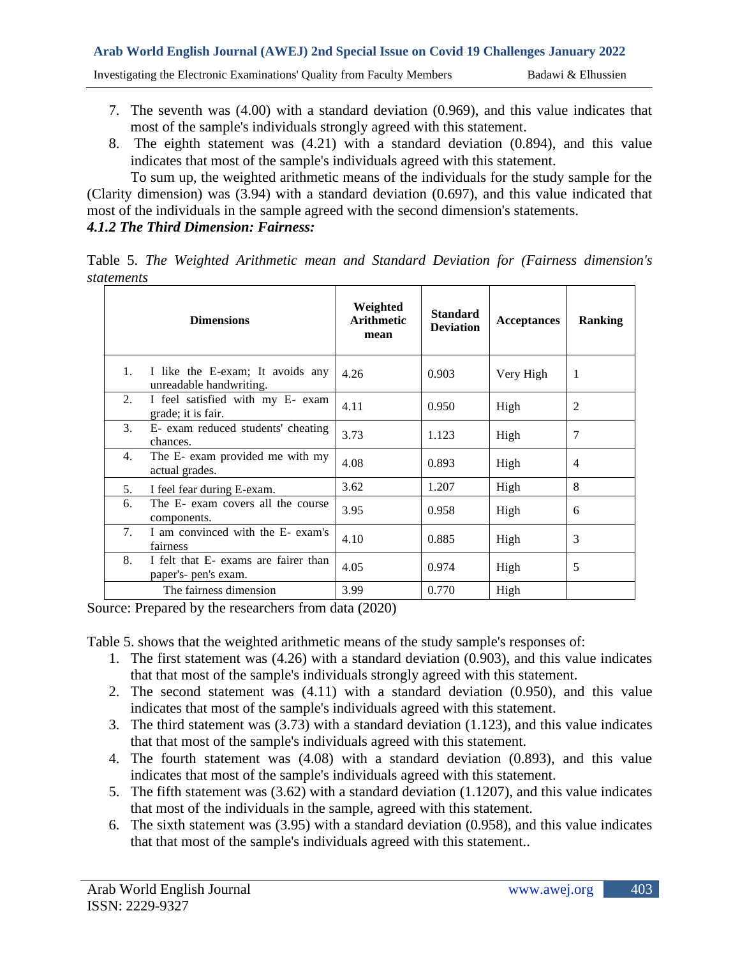Investigating the Electronic Examinations' Quality from Faculty Members Badawi & Elhussien

- 7. The seventh was (4.00) with a standard deviation (0.969), and this value indicates that most of the sample's individuals strongly agreed with this statement.
- 8. The eighth statement was (4.21) with a standard deviation (0.894), and this value indicates that most of the sample's individuals agreed with this statement.

To sum up, the weighted arithmetic means of the individuals for the study sample for the (Clarity dimension) was (3.94) with a standard deviation (0.697), and this value indicated that most of the individuals in the sample agreed with the second dimension's statements. *4.1.2 The Third Dimension: Fairness:*

Table 5. *The Weighted Arithmetic mean and Standard Deviation for (Fairness dimension's statements*

|                | <b>Dimensions</b>                                            | Weighted<br><b>Arithmetic</b><br>mean | <b>Standard</b><br><b>Deviation</b> | <b>Acceptances</b> | Ranking        |
|----------------|--------------------------------------------------------------|---------------------------------------|-------------------------------------|--------------------|----------------|
| 1.             | I like the E-exam; It avoids any<br>unreadable handwriting.  | 4.26                                  | 0.903                               | Very High          | $\mathbf{1}$   |
| 2.             | I feel satisfied with my E- exam<br>grade; it is fair.       | 4.11                                  | 0.950                               | High               | 2              |
| 3.             | E- exam reduced students' cheating<br>chances.               | 3.73                                  | 1.123                               | High               | 7              |
| 4.             | The E- exam provided me with my<br>actual grades.            | 4.08                                  | 0.893                               | High               | $\overline{4}$ |
| 5.             | I feel fear during E-exam.                                   | 3.62                                  | 1.207                               | High               | 8              |
| 6.             | The E- exam covers all the course<br>components.             | 3.95                                  | 0.958                               | High               | 6              |
| 7 <sub>1</sub> | I am convinced with the E- exam's<br>fairness                | 4.10                                  | 0.885                               | High               | 3              |
| 8.             | I felt that E- exams are fairer than<br>paper's- pen's exam. | 4.05                                  | 0.974                               | High               | 5              |
|                | The fairness dimension                                       | 3.99                                  | 0.770                               | High               |                |

Source: Prepared by the researchers from data (2020)

Table 5. shows that the weighted arithmetic means of the study sample's responses of:

- 1. The first statement was (4.26) with a standard deviation (0.903), and this value indicates that that most of the sample's individuals strongly agreed with this statement.
- 2. The second statement was (4.11) with a standard deviation (0.950), and this value indicates that most of the sample's individuals agreed with this statement.
- 3. The third statement was (3.73) with a standard deviation (1.123), and this value indicates that that most of the sample's individuals agreed with this statement.
- 4. The fourth statement was (4.08) with a standard deviation (0.893), and this value indicates that most of the sample's individuals agreed with this statement.
- 5. The fifth statement was (3.62) with a standard deviation (1.1207), and this value indicates that most of the individuals in the sample, agreed with this statement.
- 6. The sixth statement was (3.95) with a standard deviation (0.958), and this value indicates that that most of the sample's individuals agreed with this statement..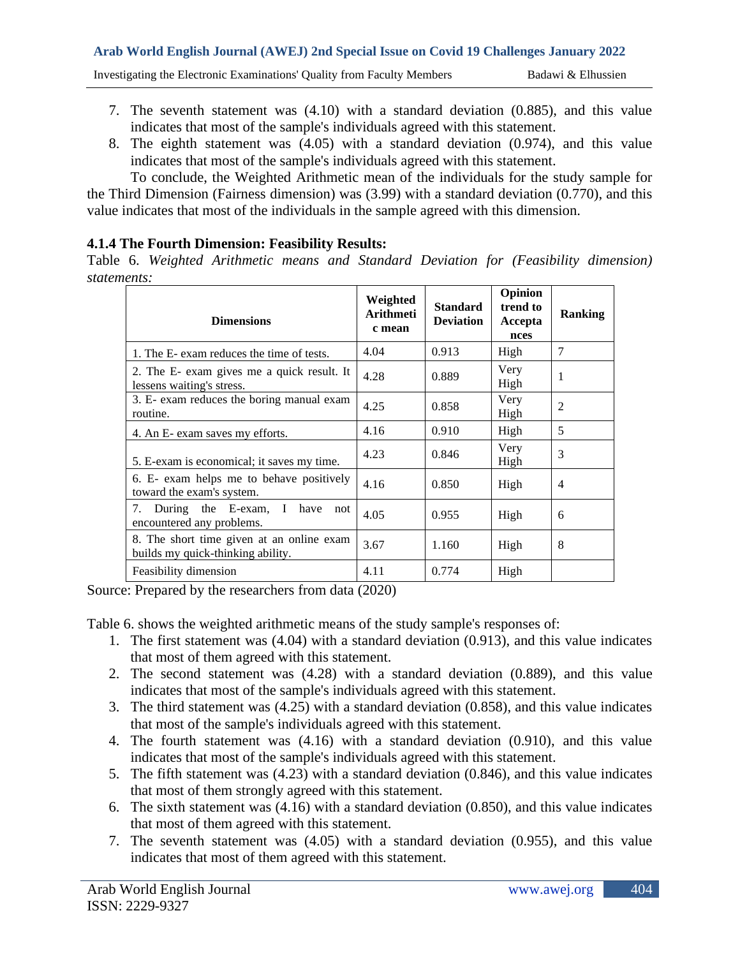Investigating the Electronic Examinations' Quality from Faculty Members Badawi & Elhussien

- 7. The seventh statement was (4.10) with a standard deviation (0.885), and this value indicates that most of the sample's individuals agreed with this statement.
- 8. The eighth statement was (4.05) with a standard deviation (0.974), and this value indicates that most of the sample's individuals agreed with this statement.

To conclude, the Weighted Arithmetic mean of the individuals for the study sample for the Third Dimension (Fairness dimension) was (3.99) with a standard deviation (0.770), and this value indicates that most of the individuals in the sample agreed with this dimension.

## **4.1.4 The Fourth Dimension: Feasibility Results:**

Table 6. *Weighted Arithmetic means and Standard Deviation for (Feasibility dimension) statements:*

| <b>Dimensions</b>                                                              | Weighted<br>Arithmeti<br>c mean | <b>Standard</b><br><b>Deviation</b> | Opinion<br>trend to<br>Accepta<br>nces | Ranking        |
|--------------------------------------------------------------------------------|---------------------------------|-------------------------------------|----------------------------------------|----------------|
| 1. The E- exam reduces the time of tests.                                      | 4.04                            | 0.913                               | High                                   | $\overline{7}$ |
| 2. The E- exam gives me a quick result. It<br>lessens waiting's stress.        | 4.28                            | 0.889                               | Very<br>High                           | 1              |
| 3. E- exam reduces the boring manual exam<br>routine.                          | 4.25                            | 0.858                               | Very<br>High                           | $\overline{c}$ |
| 4. An E- exam saves my efforts.                                                | 4.16                            | 0.910                               | High                                   | 5              |
| 5. E-exam is economical; it saves my time.                                     | 4.23                            | 0.846                               | Very<br>High                           | 3              |
| 6. E- exam helps me to behave positively<br>toward the exam's system.          | 4.16                            | 0.850                               | High                                   | $\overline{4}$ |
| 7. During the E-exam, I have<br>not<br>encountered any problems.               | 4.05                            | 0.955                               | High                                   | 6              |
| 8. The short time given at an online exam<br>builds my quick-thinking ability. | 3.67                            | 1.160                               | High                                   | 8              |
| Feasibility dimension                                                          | 4.11                            | 0.774                               | High                                   |                |

Source: Prepared by the researchers from data (2020)

Table 6. shows the weighted arithmetic means of the study sample's responses of:

- 1. The first statement was (4.04) with a standard deviation (0.913), and this value indicates that most of them agreed with this statement.
- 2. The second statement was (4.28) with a standard deviation (0.889), and this value indicates that most of the sample's individuals agreed with this statement.
- 3. The third statement was (4.25) with a standard deviation (0.858), and this value indicates that most of the sample's individuals agreed with this statement.
- 4. The fourth statement was (4.16) with a standard deviation (0.910), and this value indicates that most of the sample's individuals agreed with this statement.
- 5. The fifth statement was (4.23) with a standard deviation (0.846), and this value indicates that most of them strongly agreed with this statement.
- 6. The sixth statement was (4.16) with a standard deviation (0.850), and this value indicates that most of them agreed with this statement.
- 7. The seventh statement was (4.05) with a standard deviation (0.955), and this value indicates that most of them agreed with this statement.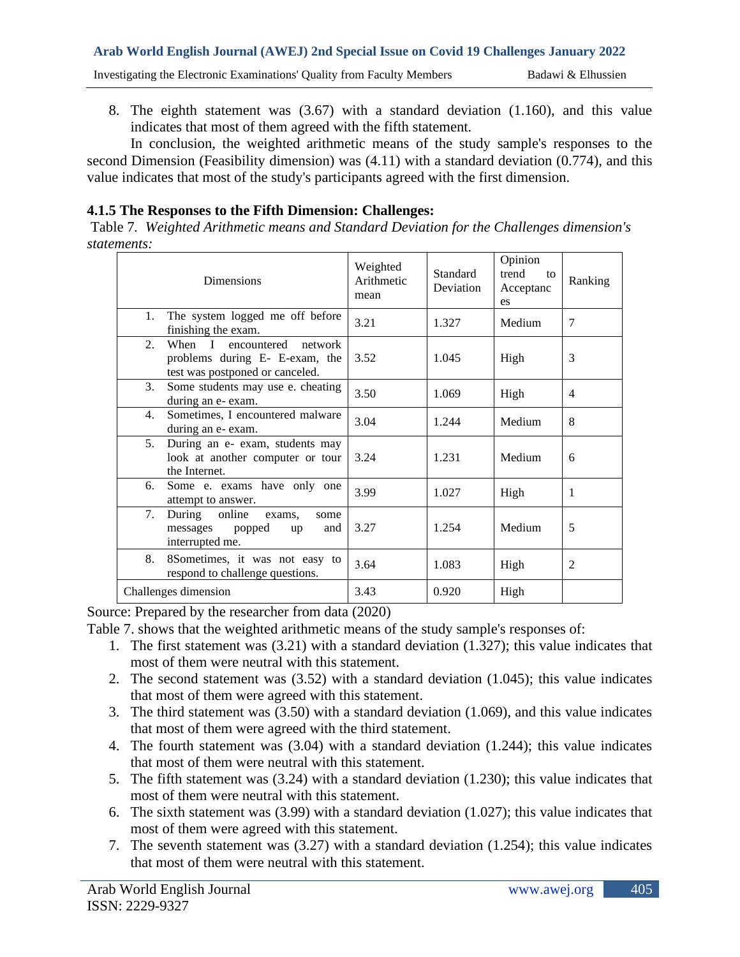# **Arab World English Journal (AWEJ) 2nd Special Issue on Covid 19 Challenges January 2022**  Investigating the Electronic Examinations' Quality from Faculty Members Badawi & Elhussien

8. The eighth statement was (3.67) with a standard deviation (1.160), and this value indicates that most of them agreed with the fifth statement.

In conclusion, the weighted arithmetic means of the study sample's responses to the second Dimension (Feasibility dimension) was  $(4.11)$  with a standard deviation  $(0.774)$ , and this value indicates that most of the study's participants agreed with the first dimension.

#### **4.1.5 The Responses to the Fifth Dimension: Challenges:**

Table 7*. Weighted Arithmetic means and Standard Deviation for the Challenges dimension's statements:*

| <b>Dimensions</b>                                                                                      | Weighted<br>Arithmetic<br>mean | Standard<br>Deviation | Opinion<br>trend<br>10 <sup>2</sup><br>Acceptanc<br>es | Ranking |
|--------------------------------------------------------------------------------------------------------|--------------------------------|-----------------------|--------------------------------------------------------|---------|
| The system logged me off before<br>1.<br>finishing the exam.                                           | 3.21                           | 1.327                 | Medium                                                 | 7       |
| When I encountered network<br>2.<br>problems during E- E-exam, the<br>test was postponed or canceled.  | 3.52                           | 1.045                 | High                                                   | 3       |
| 3.<br>Some students may use e. cheating<br>during an e- exam.                                          | 3.50                           | 1.069                 | High                                                   | 4       |
| Sometimes, I encountered malware<br>4.<br>during an e- exam.                                           | 3.04                           | 1.244                 | Medium                                                 | 8       |
| 5 <sub>1</sub><br>During an e- exam, students may<br>look at another computer or tour<br>the Internet. | 3.24                           | 1.231                 | Medium                                                 | 6       |
| Some e. exams have only one<br>6.<br>attempt to answer.                                                | 3.99                           | 1.027                 | High                                                   | 1       |
| 7.<br>During online<br>exams,<br>some<br>messages popped<br>and<br>up<br>interrupted me.               | 3.27                           | 1.254                 | Medium                                                 | 5       |
| 8.<br>8Sometimes, it was not easy to<br>respond to challenge questions.                                | 3.64                           | 1.083                 | High                                                   | 2       |
| Challenges dimension                                                                                   | 3.43                           | 0.920                 | High                                                   |         |

Source: Prepared by the researcher from data (2020)

Table 7. shows that the weighted arithmetic means of the study sample's responses of:

- 1. The first statement was (3.21) with a standard deviation (1.327); this value indicates that most of them were neutral with this statement.
- 2. The second statement was (3.52) with a standard deviation (1.045); this value indicates that most of them were agreed with this statement.
- 3. The third statement was (3.50) with a standard deviation (1.069), and this value indicates that most of them were agreed with the third statement.
- 4. The fourth statement was (3.04) with a standard deviation (1.244); this value indicates that most of them were neutral with this statement.
- 5. The fifth statement was (3.24) with a standard deviation (1.230); this value indicates that most of them were neutral with this statement.
- 6. The sixth statement was (3.99) with a standard deviation (1.027); this value indicates that most of them were agreed with this statement.
- 7. The seventh statement was (3.27) with a standard deviation (1.254); this value indicates that most of them were neutral with this statement.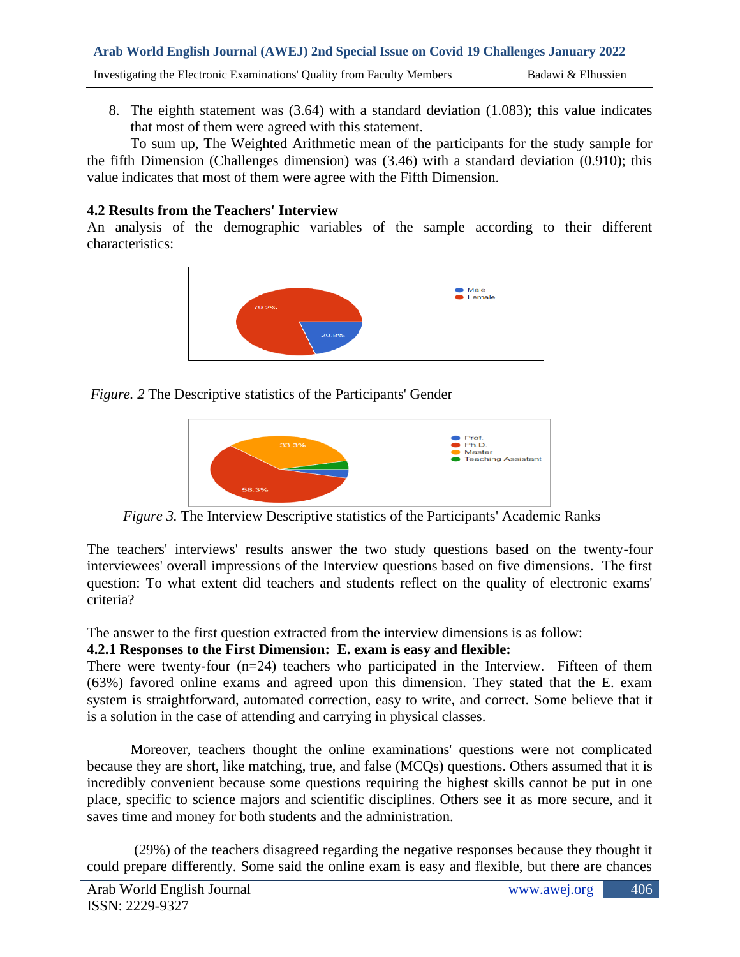8. The eighth statement was (3.64) with a standard deviation (1.083); this value indicates that most of them were agreed with this statement.

To sum up, The Weighted Arithmetic mean of the participants for the study sample for the fifth Dimension (Challenges dimension) was (3.46) with a standard deviation (0.910); this value indicates that most of them were agree with the Fifth Dimension.

## **4.2 Results from the Teachers' Interview**

An analysis of the demographic variables of the sample according to their different characteristics:



*Figure. 2* The Descriptive statistics of the Participants' Gender



*Figure 3.* The Interview Descriptive statistics of the Participants' Academic Ranks

The teachers' interviews' results answer the two study questions based on the twenty-four interviewees' overall impressions of the Interview questions based on five dimensions. The first question: To what extent did teachers and students reflect on the quality of electronic exams' criteria?

The answer to the first question extracted from the interview dimensions is as follow:

# **4.2.1 Responses to the First Dimension: E. exam is easy and flexible:**

There were twenty-four  $(n=24)$  teachers who participated in the Interview. Fifteen of them (63%) favored online exams and agreed upon this dimension. They stated that the E. exam system is straightforward, automated correction, easy to write, and correct. Some believe that it is a solution in the case of attending and carrying in physical classes.

Moreover, teachers thought the online examinations' questions were not complicated because they are short, like matching, true, and false (MCQs) questions. Others assumed that it is incredibly convenient because some questions requiring the highest skills cannot be put in one place, specific to science majors and scientific disciplines. Others see it as more secure, and it saves time and money for both students and the administration.

(29%) of the teachers disagreed regarding the negative responses because they thought it could prepare differently. Some said the online exam is easy and flexible, but there are chances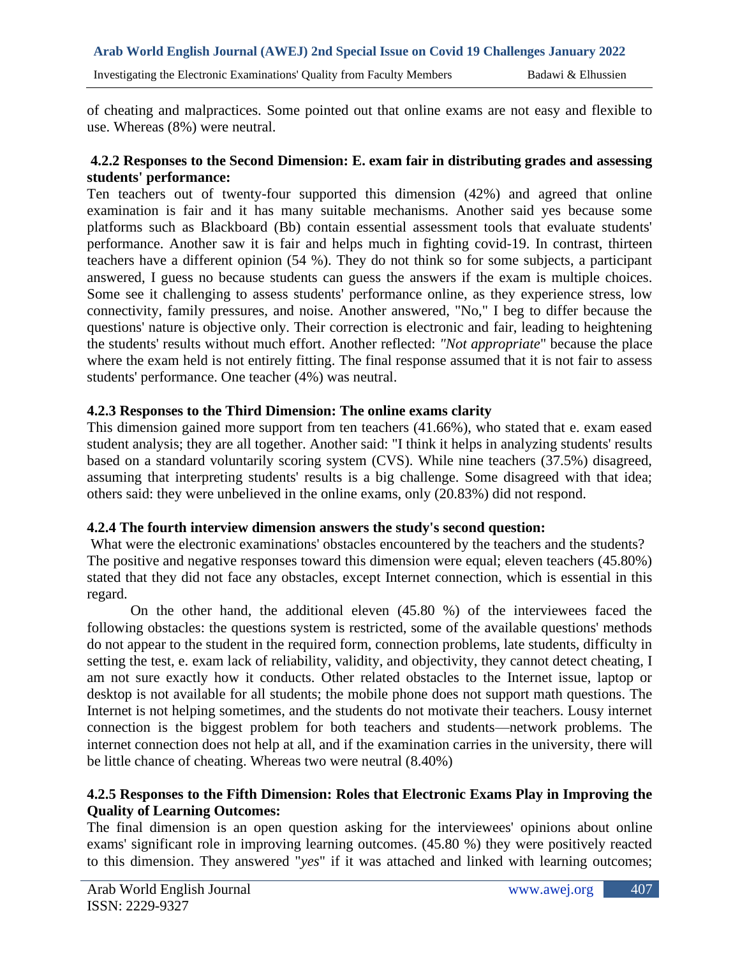of cheating and malpractices. Some pointed out that online exams are not easy and flexible to use. Whereas (8%) were neutral.

### **4.2.2 Responses to the Second Dimension: E. exam fair in distributing grades and assessing students' performance:**

Ten teachers out of twenty-four supported this dimension (42%) and agreed that online examination is fair and it has many suitable mechanisms. Another said yes because some platforms such as Blackboard (Bb) contain essential assessment tools that evaluate students' performance. Another saw it is fair and helps much in fighting covid-19. In contrast, thirteen teachers have a different opinion (54 %). They do not think so for some subjects, a participant answered, I guess no because students can guess the answers if the exam is multiple choices. Some see it challenging to assess students' performance online, as they experience stress, low connectivity, family pressures, and noise. Another answered, "No," I beg to differ because the questions' nature is objective only. Their correction is electronic and fair, leading to heightening the students' results without much effort. Another reflected: *"Not appropriate*" because the place where the exam held is not entirely fitting. The final response assumed that it is not fair to assess students' performance. One teacher (4%) was neutral.

## **4.2.3 Responses to the Third Dimension: The online exams clarity**

This dimension gained more support from ten teachers (41.66%), who stated that e. exam eased student analysis; they are all together. Another said: "I think it helps in analyzing students' results based on a standard voluntarily scoring system (CVS). While nine teachers (37.5%) disagreed, assuming that interpreting students' results is a big challenge. Some disagreed with that idea; others said: they were unbelieved in the online exams, only (20.83%) did not respond.

#### **4.2.4 The fourth interview dimension answers the study's second question:**

What were the electronic examinations' obstacles encountered by the teachers and the students? The positive and negative responses toward this dimension were equal; eleven teachers (45.80%) stated that they did not face any obstacles, except Internet connection, which is essential in this regard.

On the other hand, the additional eleven (45.80 %) of the interviewees faced the following obstacles: the questions system is restricted, some of the available questions' methods do not appear to the student in the required form, connection problems, late students, difficulty in setting the test, e. exam lack of reliability, validity, and objectivity, they cannot detect cheating, I am not sure exactly how it conducts. Other related obstacles to the Internet issue, laptop or desktop is not available for all students; the mobile phone does not support math questions. The Internet is not helping sometimes, and the students do not motivate their teachers. Lousy internet connection is the biggest problem for both teachers and students—network problems. The internet connection does not help at all, and if the examination carries in the university, there will be little chance of cheating. Whereas two were neutral (8.40%)

## **4.2.5 Responses to the Fifth Dimension: Roles that Electronic Exams Play in Improving the Quality of Learning Outcomes:**

The final dimension is an open question asking for the interviewees' opinions about online exams' significant role in improving learning outcomes. (45.80 %) they were positively reacted to this dimension. They answered "*yes*" if it was attached and linked with learning outcomes;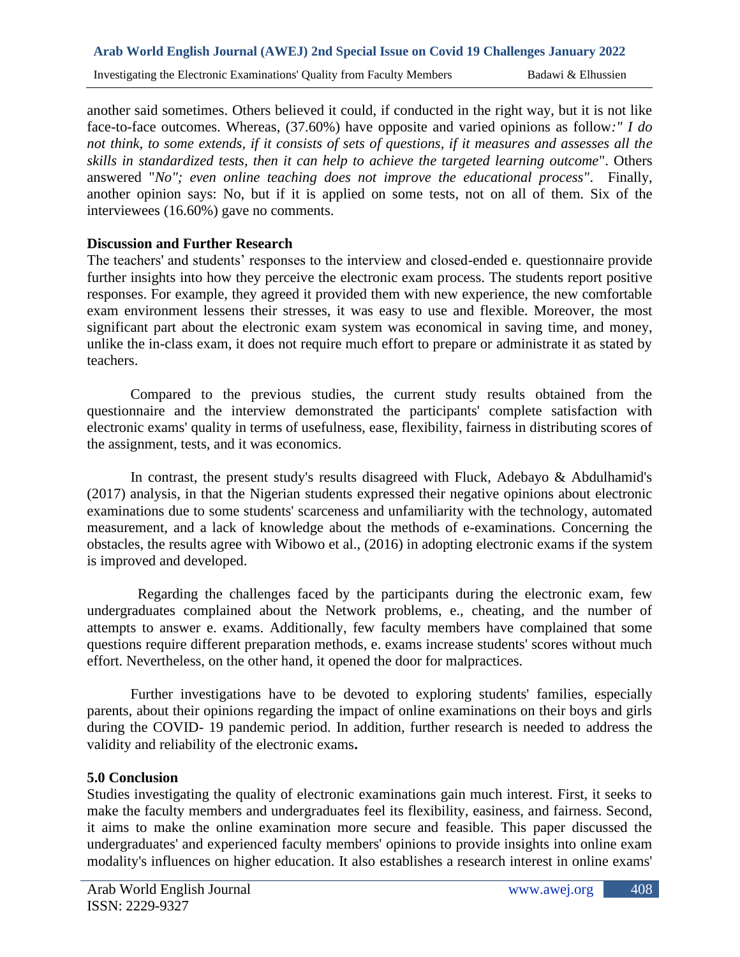another said sometimes. Others believed it could, if conducted in the right way, but it is not like face-to-face outcomes. Whereas, (37.60%) have opposite and varied opinions as follow*:" I do not think, to some extends, if it consists of sets of questions, if it measures and assesses all the skills in standardized tests, then it can help to achieve the targeted learning outcome*". Others answered "*No"; even online teaching does not improve the educational process"*. Finally, another opinion says: No, but if it is applied on some tests, not on all of them. Six of the interviewees (16.60%) gave no comments.

#### **Discussion and Further Research**

The teachers' and students' responses to the interview and closed-ended e. questionnaire provide further insights into how they perceive the electronic exam process. The students report positive responses. For example, they agreed it provided them with new experience, the new comfortable exam environment lessens their stresses, it was easy to use and flexible. Moreover, the most significant part about the electronic exam system was economical in saving time, and money, unlike the in-class exam, it does not require much effort to prepare or administrate it as stated by teachers.

Compared to the previous studies, the current study results obtained from the questionnaire and the interview demonstrated the participants' complete satisfaction with electronic exams' quality in terms of usefulness, ease, flexibility, fairness in distributing scores of the assignment, tests, and it was economics.

In contrast, the present study's results disagreed with Fluck, Adebayo & Abdulhamid's (2017) analysis, in that the Nigerian students expressed their negative opinions about electronic examinations due to some students' scarceness and unfamiliarity with the technology, automated measurement, and a lack of knowledge about the methods of e-examinations. Concerning the obstacles, the results agree with Wibowo et al., (2016) in adopting electronic exams if the system is improved and developed.

 Regarding the challenges faced by the participants during the electronic exam, few undergraduates complained about the Network problems, e., cheating, and the number of attempts to answer e. exams. Additionally, few faculty members have complained that some questions require different preparation methods, e. exams increase students' scores without much effort. Nevertheless, on the other hand, it opened the door for malpractices.

Further investigations have to be devoted to exploring students' families, especially parents, about their opinions regarding the impact of online examinations on their boys and girls during the COVID- 19 pandemic period. In addition, further research is needed to address the validity and reliability of the electronic exams**.**

#### **5.0 Conclusion**

Studies investigating the quality of electronic examinations gain much interest. First, it seeks to make the faculty members and undergraduates feel its flexibility, easiness, and fairness. Second, it aims to make the online examination more secure and feasible. This paper discussed the undergraduates' and experienced faculty members' opinions to provide insights into online exam modality's influences on higher education. It also establishes a research interest in online exams'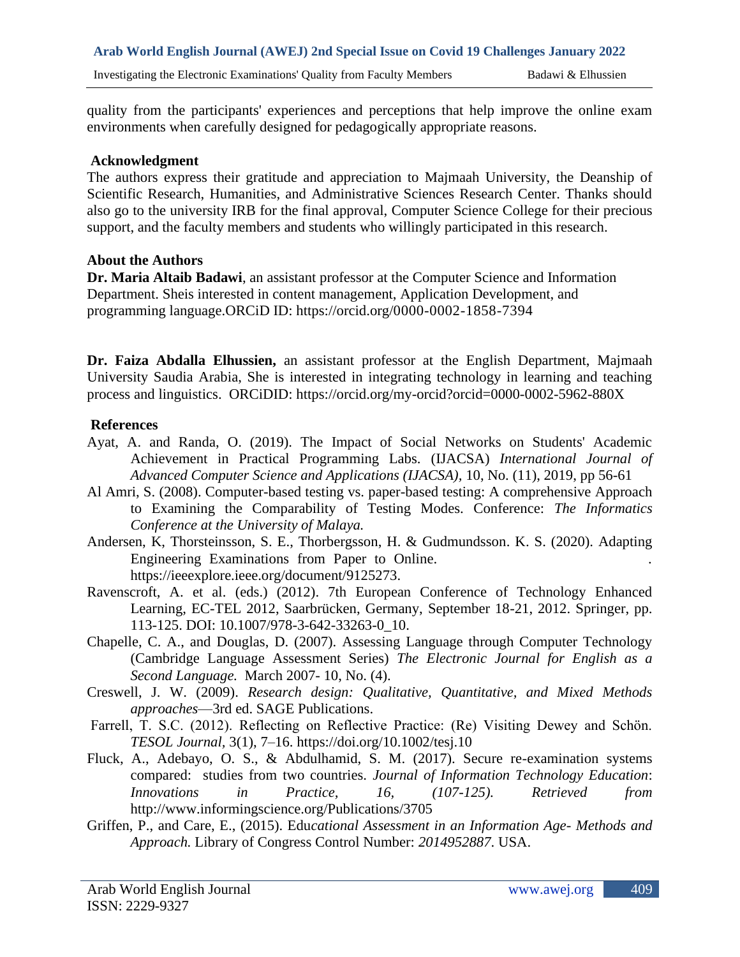quality from the participants' experiences and perceptions that help improve the online exam environments when carefully designed for pedagogically appropriate reasons.

#### **Acknowledgment**

The authors express their gratitude and appreciation to Majmaah University, the Deanship of Scientific Research, Humanities, and Administrative Sciences Research Center. Thanks should also go to the university IRB for the final approval, Computer Science College for their precious support, and the faculty members and students who willingly participated in this research.

#### **About the Authors**

**Dr. Maria Altaib Badawi**, an assistant professor at the Computer Science and Information Department. Sheis interested in content management, Application Development, and programming language.ORCiD ID:<https://orcid.org/0000-0002-1858-7394>

**Dr. Faiza Abdalla Elhussien,** an assistant professor at the English Department, Majmaah University Saudia Arabia, She is interested in integrating technology in learning and teaching process and linguistics. ORCiDID:<https://orcid.org/my-orcid?orcid=0000-0002-5962-880X>

#### **References**

- Ayat, A. and Randa, O. (2019). The Impact of Social Networks on Students' Academic Achievement in Practical Programming Labs. (IJACSA) *International Journal of Advanced Computer Science and Applications (IJACSA),* 10, No. (11), 2019, pp 56-61
- Al Amri, S. (2008). Computer-based testing vs. paper-based testing: A comprehensive Approach to Examining the Comparability of Testing Modes. Conference: *The Informatics Conference at the University of Malaya.*
- Andersen, K, Thorsteinsson, S. E., Thorbergsson, H. & Gudmundsson. K. S. (2020). Adapting Engineering Examinations from Paper to Online. . https://ieeexplore.ieee.org/document/9125273.
- Ravenscroft, A. et al. (eds.) (2012). 7th European Conference of Technology Enhanced Learning, EC-TEL 2012, Saarbrücken, Germany, September 18-21, 2012. Springer, pp. 113-125. DOI: 10.1007/978-3-642-33263-0\_10.
- Chapelle, C. A., and Douglas, D. (2007). Assessing Language through Computer Technology (Cambridge Language Assessment Series) *The Electronic Journal for English as a Second Language.* March 2007- 10, No. (4).
- Creswell, J. W. (2009). *Research design: Qualitative, Quantitative, and Mixed Methods approaches*—3rd ed. SAGE Publications.
- Farrell, T. S.C. (2012). Reflecting on Reflective Practice: (Re) Visiting Dewey and Schön. *TESOL Journal,* 3(1), 7–16.<https://doi.org/10.1002/tesj.10>
- Fluck, A., Adebayo, O. S., & Abdulhamid, S. M. (2017). Secure re-examination systems compared: studies from two countries. *Journal of Information Technology Education*: *Innovations in Practice, 16, (107-125). Retrieved from*  <http://www.informingscience.org/Publications/3705>
- Griffen, P., and Care, E., (2015). Edu*cational Assessment in an Information Age- Methods and Approach.* Library of Congress Control Number: *2014952887*. USA.